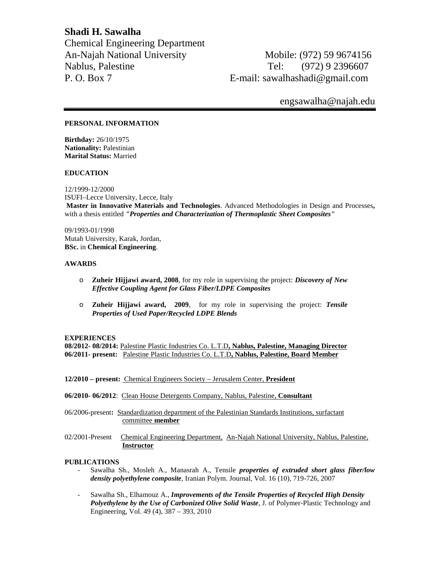**Shadi H. Sawalha** Chemical Engineering Department An-Najah National University Mobile: (972) 59 9674156 Nablus, Palestine Tel: (972) 9 2396607 P. O. Box 7 E-mail: sawalhashadi@gmail.com

# engsawalha@najah.edu

## **PERSONAL INFORMATION**

**Birthday:** 26/10/1975 **Nationality:** Palestinian **Marital Status:** Married

#### **EDUCATION**

12/1999-12/2000 ISUFI–Lecce University, Lecce, Italy **Master in Innovative Materials and Technologies**. Advanced Methodologies in Design and Processes**,** with a thesis entitled *"Properties and Characterization of Thermoplastic Sheet Composites"*

09/1993-01/1998 Mutah University, Karak, Jordan, **BSc.** in **Chemical Engineering**.

#### **AWARDS**

- o **Zuheir Hijjawi award, 2008**, for my role in supervising the project: *Discovery of New Effective Coupling Agent for Glass Fiber/LDPE Composites*
- o **Zuheir Hijjawi award, 2009**, for my role in supervising the project: *Tensile Properties of Used Paper/Recycled LDPE Blends*

### **EXPERIENCES**

**08/2012- 08/2014:** Palestine Plastic Industries Co. L.T.D**, Nablus, Palestine, Managing Director 06/2011- present:** Palestine Plastic Industries Co. L.T.D**, Nablus, Palestine, Board Member**

- **12/2010 – present:** Chemical Engineers Society Jerusalem Center, **President**
- **06/2010- 06/2012**: Clean House Detergents Company, Nablus, Palestine, **Consultant**
- 06/2006-present**:** Standardization department of the Palestinian Standards Institutions, surfactant committee **member**
- 02/2001-Present Chemical Engineering Department, An-Najah National University, Nablus, Palestine, **Instructor**

### **PUBLICATIONS**

- Sawalha Sh., Mosleh A., Manasrah A., Tensile *properties of extruded short glass fiber/low density polyethylene composite*, Iranian Polym. Journal, Vol. 16 (10), 719-726, 2007
- Sawalha Sh., Elhamouz A., *Improvements of the Tensile Properties of Recycled High Density Polyethylene by the Use of Carbonized Olive Solid Waste*, J. of Polymer-Plastic Technology and Engineering, Vol. 49 (4), 387 – 393, 2010